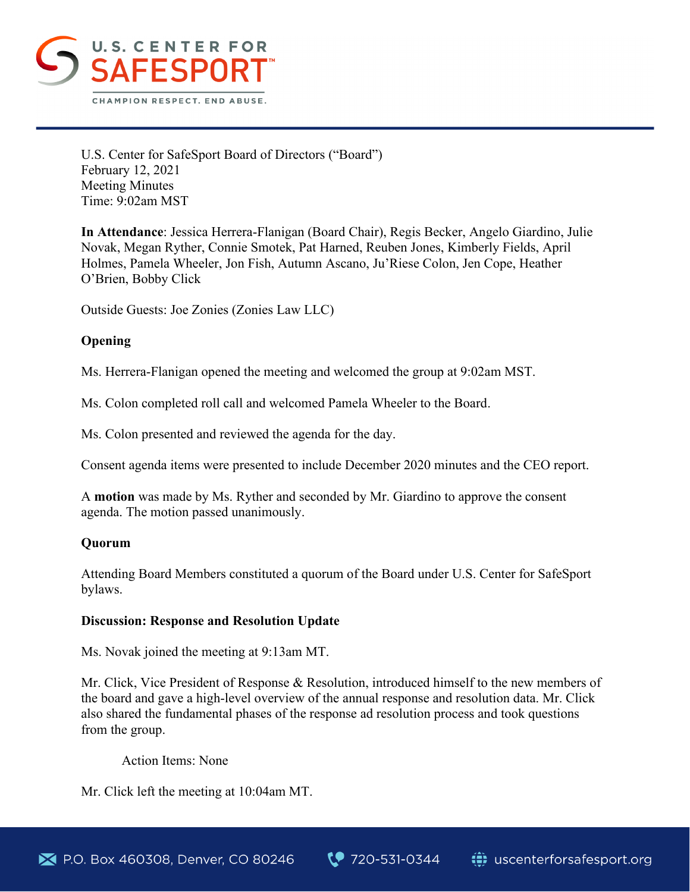

U.S. Center for SafeSport Board of Directors ("Board") February 12, 2021 Meeting Minutes Time: 9:02am MST

**In Attendance**: Jessica Herrera-Flanigan (Board Chair), Regis Becker, Angelo Giardino, Julie Novak, Megan Ryther, Connie Smotek, Pat Harned, Reuben Jones, Kimberly Fields, April Holmes, Pamela Wheeler, Jon Fish, Autumn Ascano, Ju'Riese Colon, Jen Cope, Heather O'Brien, Bobby Click

Outside Guests: Joe Zonies (Zonies Law LLC)

# **Opening**

Ms. Herrera-Flanigan opened the meeting and welcomed the group at 9:02am MST.

Ms. Colon completed roll call and welcomed Pamela Wheeler to the Board.

Ms. Colon presented and reviewed the agenda for the day.

Consent agenda items were presented to include December 2020 minutes and the CEO report.

A **motion** was made by Ms. Ryther and seconded by Mr. Giardino to approve the consent agenda. The motion passed unanimously.

# **Quorum**

Attending Board Members constituted a quorum of the Board under U.S. Center for SafeSport bylaws.

### **Discussion: Response and Resolution Update**

Ms. Novak joined the meeting at 9:13am MT.

Mr. Click, Vice President of Response & Resolution, introduced himself to the new members of the board and gave a high-level overview of the annual response and resolution data. Mr. Click also shared the fundamental phases of the response ad resolution process and took questions from the group.

Action Items: None

Mr. Click left the meeting at 10:04am MT.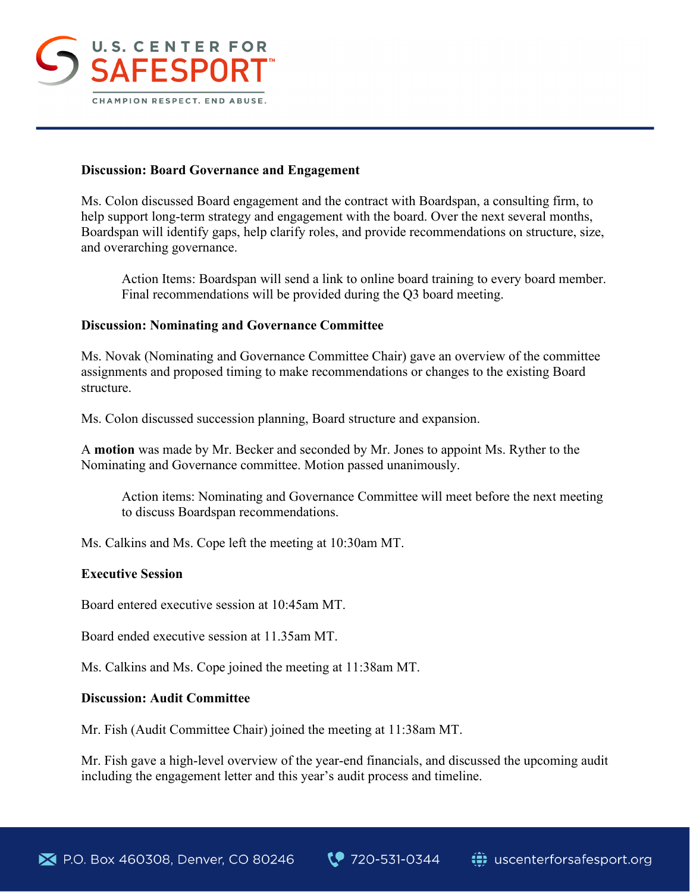

## **Discussion: Board Governance and Engagement**

Ms. Colon discussed Board engagement and the contract with Boardspan, a consulting firm, to help support long-term strategy and engagement with the board. Over the next several months, Boardspan will identify gaps, help clarify roles, and provide recommendations on structure, size, and overarching governance.

Action Items: Boardspan will send a link to online board training to every board member. Final recommendations will be provided during the Q3 board meeting.

## **Discussion: Nominating and Governance Committee**

Ms. Novak (Nominating and Governance Committee Chair) gave an overview of the committee assignments and proposed timing to make recommendations or changes to the existing Board structure.

Ms. Colon discussed succession planning, Board structure and expansion.

A **motion** was made by Mr. Becker and seconded by Mr. Jones to appoint Ms. Ryther to the Nominating and Governance committee. Motion passed unanimously.

Action items: Nominating and Governance Committee will meet before the next meeting to discuss Boardspan recommendations.

Ms. Calkins and Ms. Cope left the meeting at 10:30am MT.

### **Executive Session**

Board entered executive session at 10:45am MT.

Board ended executive session at 11.35am MT.

Ms. Calkins and Ms. Cope joined the meeting at 11:38am MT.

### **Discussion: Audit Committee**

Mr. Fish (Audit Committee Chair) joined the meeting at 11:38am MT.

Mr. Fish gave a high-level overview of the year-end financials, and discussed the upcoming audit including the engagement letter and this year's audit process and timeline.